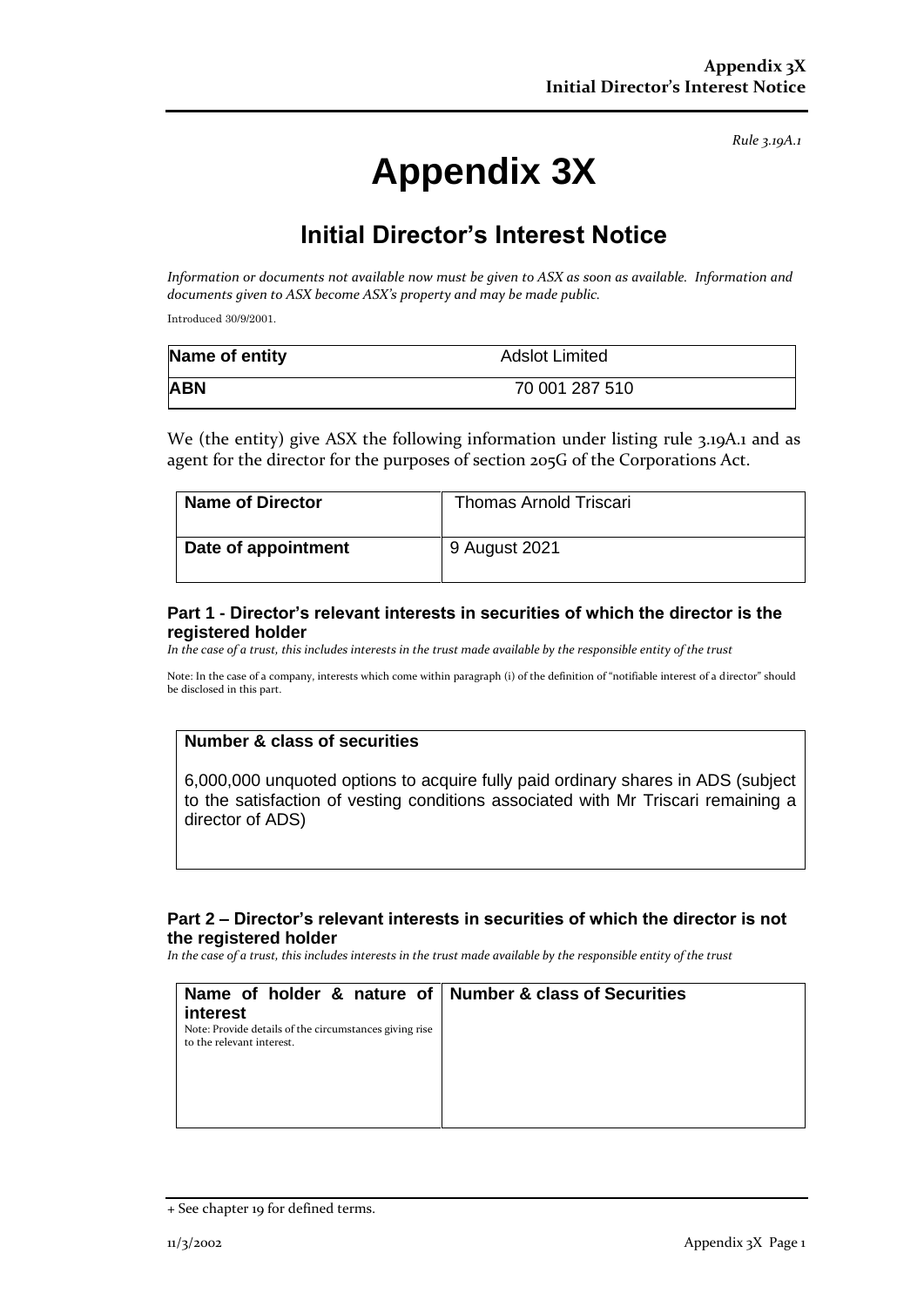*Rule 3.19A.1*

# **Appendix 3X**

# **Initial Director's Interest Notice**

*Information or documents not available now must be given to ASX as soon as available. Information and documents given to ASX become ASX's property and may be made public.*

Introduced 30/9/2001.

| Name of entity | Adslot Limited |
|----------------|----------------|
| <b>ABN</b>     | 70 001 287 510 |

We (the entity) give ASX the following information under listing rule 3.19A.1 and as agent for the director for the purposes of section 205G of the Corporations Act.

| Name of Director    | <b>Thomas Arnold Triscari</b> |
|---------------------|-------------------------------|
| Date of appointment | 9 August 2021                 |

#### **Part 1 - Director's relevant interests in securities of which the director is the registered holder**

*In the case of a trust, this includes interests in the trust made available by the responsible entity of the trust*

Note: In the case of a company, interests which come within paragraph (i) of the definition of "notifiable interest of a director" should be disclosed in this part.

#### **Number & class of securities**

6,000,000 unquoted options to acquire fully paid ordinary shares in ADS (subject to the satisfaction of vesting conditions associated with Mr Triscari remaining a director of ADS)

## **Part 2 – Director's relevant interests in securities of which the director is not the registered holder**

*In the case of a trust, this includes interests in the trust made available by the responsible entity of the trust*

| Name of holder & nature of Number & class of Securities                                         |  |
|-------------------------------------------------------------------------------------------------|--|
| interest<br>Note: Provide details of the circumstances giving rise<br>to the relevant interest. |  |
|                                                                                                 |  |
|                                                                                                 |  |

<sup>+</sup> See chapter 19 for defined terms.